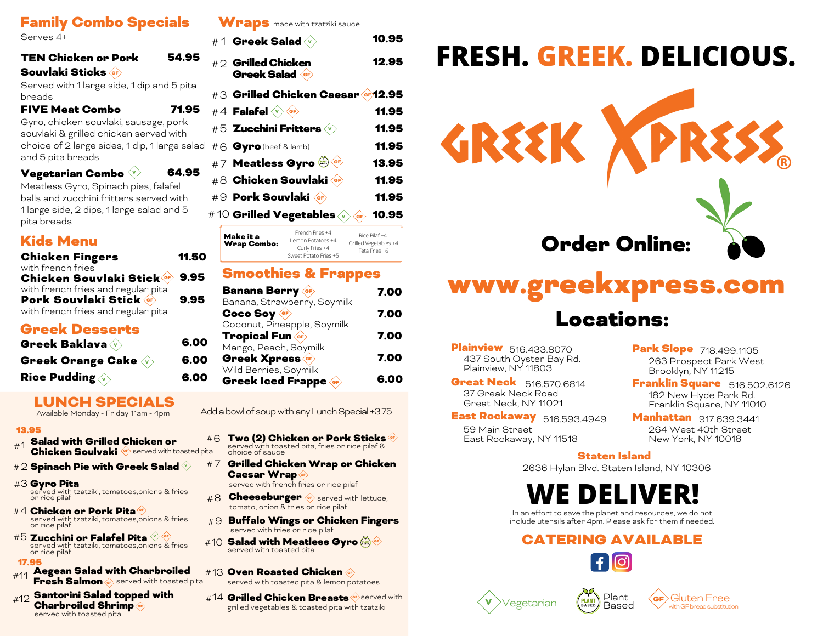## Family Combo Specials

Serves 4+

| <b>TEN Chicken or Pork</b> |  |
|----------------------------|--|
| <b>Souvlaki Sticks</b>     |  |

Served with 1 large side, 1 dip and 5 pita breads

54.95

71.95

6.00 6.00 6.00

FIVE Meat Combo

Gyro, chicken souvlaki, sausage, pork souvlaki & grilled chicken served with choice of 2 large sides, 1 dip, 1 large salad and 5 pita breads

| Vegetarian Combo $\vee$ |  |  | 64.95 |
|-------------------------|--|--|-------|
|-------------------------|--|--|-------|

Meatless Gyro, Spinach pies, falafel balls and zucchini fritters served with 1 large side, 2 dips, 1 large salad and 5 pita breads

## Kids Menu

| <b>Chicken Fingers</b>                                      | 11.50 |
|-------------------------------------------------------------|-------|
| with french fries<br>Chicken Souvlaki Stick & 9.95          |       |
| with french fries and regular pita<br>Pork Souvlaki Stick • | 9.95  |
| with french fries and regular pita                          |       |

### Greek Desserts

| Greek Baklava (v)                                      |  |
|--------------------------------------------------------|--|
| Greek Orange Cake $\overline{\langle {\bf v} \rangle}$ |  |
| Rice Pudding $\overline{\langle {\bf v} \rangle}$      |  |

### LUNCH SPECIALS

Available Monday - Friday 11am - 4pm

### 13.95

- Salad with Grilled Chicken or **The Salad With Orling Chicken or**
- $\# 2$  Spinach Pie with Greek Salad  $\heartsuit$
- #3 **Gyro Pita** served with tzatziki, tomatoes,onions & fries<br>or rice pilaf
- #4 Chicken or Pork Pita ® served with tzatziki, tomatoes,onions & fries or rice pilaf
- Zucchini or Falafel Pita V #5 GF served with tzatziki, tomatoes,onions & fries or rice pilaf

### 17.95

- Aegean Salad with Charbroiled Fresh Salmon **G** served with toasted pita #11
- Santorini Salad topped with Charbroiled Shrimp GF served with toasted pita

### Wraps made with tzatziki sauce

|   | #1 Greek Salad                              |                                                        | 10.95                                               |
|---|---------------------------------------------|--------------------------------------------------------|-----------------------------------------------------|
|   | $\# \supset$ Grilled Chicken<br>Greek Salad |                                                        | 12.95                                               |
|   |                                             | #3 Grilled Chicken Caesar & 12.95                      |                                                     |
|   | #4 <b>Falafel</b>                           | <b>GF</b>                                              | 11.95                                               |
|   | #5 Zucchini Fritters                        |                                                        | 11.95                                               |
| Ŀ | #6 Gyro (beef & lamb)                       |                                                        | 11.95                                               |
|   |                                             | #7 Meatless Gyro                                       | 13.95                                               |
|   |                                             | #8 Chicken Souvlaki                                    | 11.95                                               |
|   | #9 Pork Souvlaki                            |                                                        | 11.95                                               |
|   |                                             | #10 Grilled Vegetables $\sqrt{\phantom{a}}$            | 10.95<br>®F                                         |
|   | Make it a<br>Wrap Combo:                    | French Fries +4<br>Lemon Potatoes +4<br>Curly Fries +4 | Rice Pilaf +4<br>Grilled Vegetables +4<br>$-1$ $-1$ |

### Smoothies & Frappes

Sweet Potato Fries +5

Feta Fries +6

| <b>Banana Berry</b>                                | 7.00 |
|----------------------------------------------------|------|
| Banana, Strawberry, Soymilk<br>Coco Soy            | 7.00 |
| Coconut, Pineapple, Soymilk<br><b>Tropical Fun</b> | 7.00 |
| Mango, Peach, Soymilk<br>Greek Xpress              | 7.00 |
| Wild Berries, Soymilk<br>Greek Iced Frappe         |      |

Add a bowl of soup with any Lunch Special +3.75

- #6 Two (2) Chicken or Pork Sticks \*\* served with toasted pita, fries or rice pilaf & choice of sauce
- Spinach Pie with Greek Salad  $\Diamond$  #7  $\,$  Grilled Chicken Wrap or Chicken  $\,$ Caesar Wrap

served with french fries or rice pilaf

- #8 Cheeseburger Ge served with lettuce, tomato, onion & fries or rice pilaf
- $\# \Theta$  Buffalo Wings or Chicken Fingers served with fries or rice pilaf
- #10 **Salad with Meatless Gyro** @\*<br>served with toasted pita
- #13 Oven Roasted Chicken served with toasted pita & lemon potatoes
- #12 Santorini Salad topped with #14 Grilled Chicken Breasts \* served with #12 Santorini Salad topped with grilled vegetables & toasted pita with tzatziki

# **FRESH. GREEK. DELICIOUS.**



# www.greekxpress.com Locations:

**Plainview** 516.433.8070 437 South Oyster Bay Rd. Plainview, NY 11803

**Great Neck** 516.570.6814 37 Greak Neck Road Great Neck, NY 11021

**East Rockaway** 516.593.4949 59 Main Street East Rockaway, NY 11518

Park Slope 718.499.1105 263 Prospect Park West Brooklyn, NY 11215

Franklin Square 516.502.6126 182 New Hyde Park Rd. Franklin Square, NY 11010

516.593.4949 Manhattan 917.639.3441 264 West 40th Street New York, NY 10018

### Staten Island

2636 Hylan Blvd. Staten Island, NY 10306

# **DELIVER!**

In an effort to save the planet and resources, we do not include utensils after 4pm. Please ask for them if needed.

# CATERING AVAILABLE